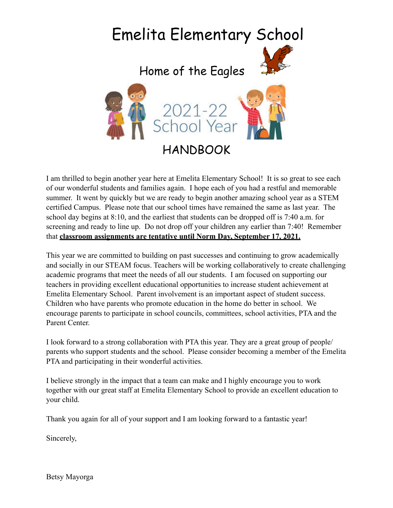

I am thrilled to begin another year here at Emelita Elementary School! It is so great to see each of our wonderful students and families again. I hope each of you had a restful and memorable summer. It went by quickly but we are ready to begin another amazing school year as a STEM certified Campus. Please note that our school times have remained the same as last year. The school day begins at 8:10, and the earliest that students can be dropped off is 7:40 a.m. for screening and ready to line up. Do not drop off your children any earlier than 7:40! Remember that **classroom assignments are tentative until Norm Day, September 17, 2021.**

This year we are committed to building on past successes and continuing to grow academically and socially in our STEAM focus. Teachers will be working collaboratively to create challenging academic programs that meet the needs of all our students. I am focused on supporting our teachers in providing excellent educational opportunities to increase student achievement at Emelita Elementary School. Parent involvement is an important aspect of student success. Children who have parents who promote education in the home do better in school. We encourage parents to participate in school councils, committees, school activities, PTA and the Parent Center.

I look forward to a strong collaboration with PTA this year. They are a great group of people/ parents who support students and the school. Please consider becoming a member of the Emelita PTA and participating in their wonderful activities.

I believe strongly in the impact that a team can make and I highly encourage you to work together with our great staff at Emelita Elementary School to provide an excellent education to your child.

Thank you again for all of your support and I am looking forward to a fantastic year!

Sincerely,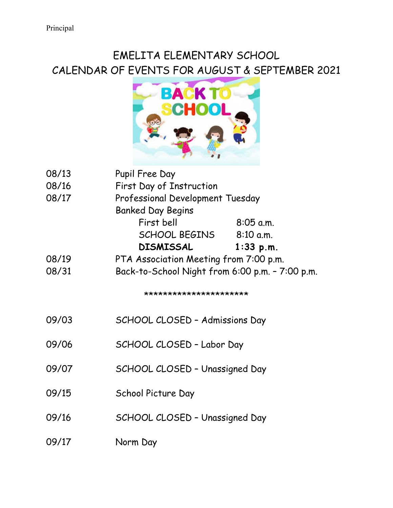# EMELITA ELEMENTARY SCHOOL CALENDAR OF EVENTS FOR AUGUST & SEPTEMBER 2021



| 08/13 | Pupil Free Day                                  |             |
|-------|-------------------------------------------------|-------------|
| 08/16 | First Day of Instruction                        |             |
| 08/17 | Professional Development Tuesday                |             |
|       | <b>Banked Day Begins</b>                        |             |
|       | First bell                                      | $8:05$ a.m. |
|       | SCHOOL BEGINS                                   | 8:10 a.m.   |
|       | <b>DISMISSAL</b>                                | $1:33$ p.m. |
| 08/19 | PTA Association Meeting from 7:00 p.m.          |             |
| 08/31 | Back-to-School Night from 6:00 p.m. - 7:00 p.m. |             |
|       | **********************                          |             |
| 09/03 | SCHOOL CLOSED - Admissions Day                  |             |
| 09/06 | SCHOOL CLOSED - Labor Day                       |             |
| 09/07 | SCHOOL CLOSED - Unassigned Day                  |             |
| 09/15 | School Picture Day                              |             |
| 09/16 | SCHOOL CLOSED - Unassigned Day                  |             |
| 09/17 | Norm Day                                        |             |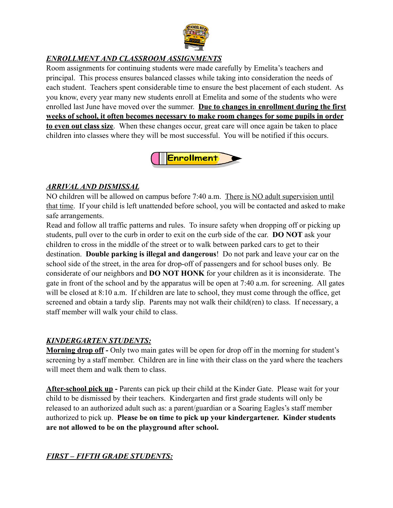

### *ENROLLMENT AND CLASSROOM ASSIGNMENTS*

Room assignments for continuing students were made carefully by Emelita's teachers and principal. This process ensures balanced classes while taking into consideration the needs of each student. Teachers spent considerable time to ensure the best placement of each student. As you know, every year many new students enroll at Emelita and some of the students who were enrolled last June have moved over the summer. **Due to changes in enrollment during the first weeks of school, it often becomes necessary to make room changes for some pupils in order to even out class size**. When these changes occur, great care will once again be taken to place children into classes where they will be most successful. You will be notified if this occurs.



#### *ARRIVAL AND DISMISSAL*

NO children will be allowed on campus before 7:40 a.m. There is NO adult supervision until that time. If your child is left unattended before school, you will be contacted and asked to make safe arrangements.

Read and follow all traffic patterns and rules. To insure safety when dropping off or picking up students, pull over to the curb in order to exit on the curb side of the car. **DO NOT** ask your children to cross in the middle of the street or to walk between parked cars to get to their destination. **Double parking is illegal and dangerous**! Do not park and leave your car on the school side of the street, in the area for drop-off of passengers and for school buses only. Be considerate of our neighbors and **DO NOT HONK** for your children as it is inconsiderate. The gate in front of the school and by the apparatus will be open at 7:40 a.m. for screening. All gates will be closed at 8:10 a.m. If children are late to school, they must come through the office, get screened and obtain a tardy slip. Parents may not walk their child(ren) to class. If necessary, a staff member will walk your child to class.

#### *KINDERGARTEN STUDENTS:*

**Morning drop off -** Only two main gates will be open for drop off in the morning for student's screening by a staff member. Children are in line with their class on the yard where the teachers will meet them and walk them to class.

**After-school pick up -** Parents can pick up their child at the Kinder Gate. Please wait for your child to be dismissed by their teachers. Kindergarten and first grade students will only be released to an authorized adult such as: a parent/guardian or a Soaring Eagles's staff member authorized to pick up. **Please be on time to pick up your kindergartener. Kinder students are not allowed to be on the playground after school.**

#### *FIRST – FIFTH GRADE STUDENTS:*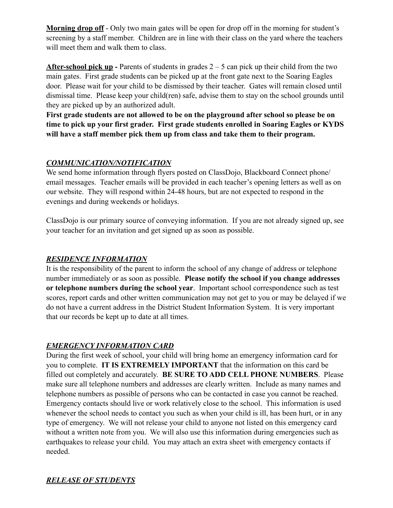**Morning drop off** - Only two main gates will be open for drop off in the morning for student's screening by a staff member. Children are in line with their class on the yard where the teachers will meet them and walk them to class.

**After-school pick up** - Parents of students in grades 2 – 5 can pick up their child from the two main gates. First grade students can be picked up at the front gate next to the Soaring Eagles door. Please wait for your child to be dismissed by their teacher. Gates will remain closed until dismissal time. Please keep your child(ren) safe, advise them to stay on the school grounds until they are picked up by an authorized adult.

**First grade students are not allowed to be on the playground after school so please be on time to pick up your first grader. First grade students enrolled in Soaring Eagles or KYDS will have a staff member pick them up from class and take them to their program.**

## *COMMUNICATION/NOTIFICATION*

We send home information through flyers posted on ClassDojo, Blackboard Connect phone/ email messages. Teacher emails will be provided in each teacher's opening letters as well as on our website. They will respond within 24-48 hours, but are not expected to respond in the evenings and during weekends or holidays.

ClassDojo is our primary source of conveying information. If you are not already signed up, see your teacher for an invitation and get signed up as soon as possible.

# *RESIDENCE INFORMATION*

It is the responsibility of the parent to inform the school of any change of address or telephone number immediately or as soon as possible. **Please notify the school if you change addresses or telephone numbers during the school year**. Important school correspondence such as test scores, report cards and other written communication may not get to you or may be delayed if we do not have a current address in the District Student Information System. It is very important that our records be kept up to date at all times.

# *EMERGENCY INFORMATION CARD*

During the first week of school, your child will bring home an emergency information card for you to complete. **IT IS EXTREMELY IMPORTANT** that the information on this card be filled out completely and accurately. **BE SURE TO ADD CELL PHONE NUMBERS**. Please make sure all telephone numbers and addresses are clearly written. Include as many names and telephone numbers as possible of persons who can be contacted in case you cannot be reached. Emergency contacts should live or work relatively close to the school. This information is used whenever the school needs to contact you such as when your child is ill, has been hurt, or in any type of emergency. We will not release your child to anyone not listed on this emergency card without a written note from you. We will also use this information during emergencies such as earthquakes to release your child. You may attach an extra sheet with emergency contacts if needed.

# *RELEASE OF STUDENTS*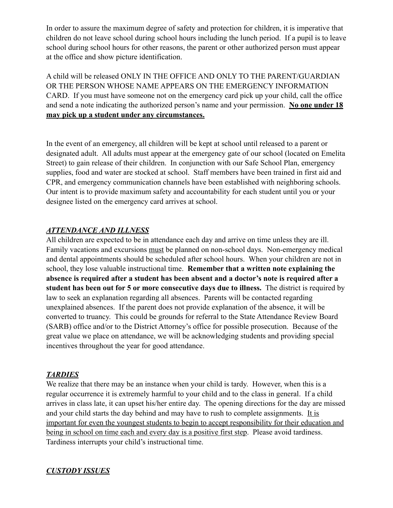In order to assure the maximum degree of safety and protection for children, it is imperative that children do not leave school during school hours including the lunch period. If a pupil is to leave school during school hours for other reasons, the parent or other authorized person must appear at the office and show picture identification.

A child will be released ONLY IN THE OFFICE AND ONLY TO THE PARENT/GUARDIAN OR THE PERSON WHOSE NAME APPEARS ON THE EMERGENCY INFORMATION CARD. If you must have someone not on the emergency card pick up your child, call the office and send a note indicating the authorized person's name and your permission. **No one under 18 may pick up a student under any circumstances.**

In the event of an emergency, all children will be kept at school until released to a parent or designated adult. All adults must appear at the emergency gate of our school (located on Emelita Street) to gain release of their children. In conjunction with our Safe School Plan, emergency supplies, food and water are stocked at school. Staff members have been trained in first aid and CPR, and emergency communication channels have been established with neighboring schools. Our intent is to provide maximum safety and accountability for each student until you or your designee listed on the emergency card arrives at school.

#### *ATTENDANCE AND ILLNESS*

All children are expected to be in attendance each day and arrive on time unless they are ill. Family vacations and excursions must be planned on non-school days. Non-emergency medical and dental appointments should be scheduled after school hours. When your children are not in school, they lose valuable instructional time. **Remember that a written note explaining the absence is required after a student has been absent and a doctor's note is required after a student has been out for 5 or more consecutive days due to illness.** The district is required by law to seek an explanation regarding all absences. Parents will be contacted regarding unexplained absences. If the parent does not provide explanation of the absence, it will be converted to truancy. This could be grounds for referral to the State Attendance Review Board (SARB) office and/or to the District Attorney's office for possible prosecution. Because of the great value we place on attendance, we will be acknowledging students and providing special incentives throughout the year for good attendance.

#### *TARDIES*

We realize that there may be an instance when your child is tardy. However, when this is a regular occurrence it is extremely harmful to your child and to the class in general. If a child arrives in class late, it can upset his/her entire day. The opening directions for the day are missed and your child starts the day behind and may have to rush to complete assignments. It is important for even the youngest students to begin to accept responsibility for their education and being in school on time each and every day is a positive first step. Please avoid tardiness. Tardiness interrupts your child's instructional time.

#### *CUSTODY ISSUES*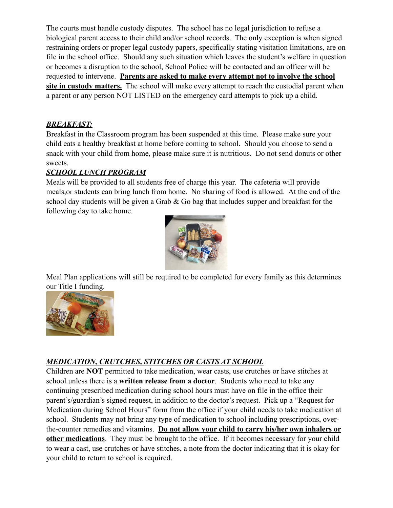The courts must handle custody disputes. The school has no legal jurisdiction to refuse a biological parent access to their child and/or school records. The only exception is when signed restraining orders or proper legal custody papers, specifically stating visitation limitations, are on file in the school office. Should any such situation which leaves the student's welfare in question or becomes a disruption to the school, School Police will be contacted and an officer will be requested to intervene. **Parents are asked to make every attempt not to involve the school site in custody matters.** The school will make every attempt to reach the custodial parent when a parent or any person NOT LISTED on the emergency card attempts to pick up a child.

# *BREAKFAST:*

Breakfast in the Classroom program has been suspended at this time. Please make sure your child eats a healthy breakfast at home before coming to school. Should you choose to send a snack with your child from home, please make sure it is nutritious. Do not send donuts or other sweets.

# *SCHOOL LUNCH PROGRAM*

Meals will be provided to all students free of charge this year. The cafeteria will provide meals,or students can bring lunch from home. No sharing of food is allowed. At the end of the school day students will be given a Grab  $\&$  Go bag that includes supper and breakfast for the following day to take home.



Meal Plan applications will still be required to be completed for every family as this determines our Title I funding.



# *MEDICATION, CRUTCHES, STITCHES OR CASTS AT SCHOOL*

Children are **NOT** permitted to take medication, wear casts, use crutches or have stitches at school unless there is a **written release from a doctor**. Students who need to take any continuing prescribed medication during school hours must have on file in the office their parent's/guardian's signed request, in addition to the doctor's request. Pick up a "Request for Medication during School Hours" form from the office if your child needs to take medication at school. Students may not bring any type of medication to school including prescriptions, overthe-counter remedies and vitamins. **Do not allow your child to carry his/her own inhalers or other medications**. They must be brought to the office. If it becomes necessary for your child to wear a cast, use crutches or have stitches, a note from the doctor indicating that it is okay for your child to return to school is required.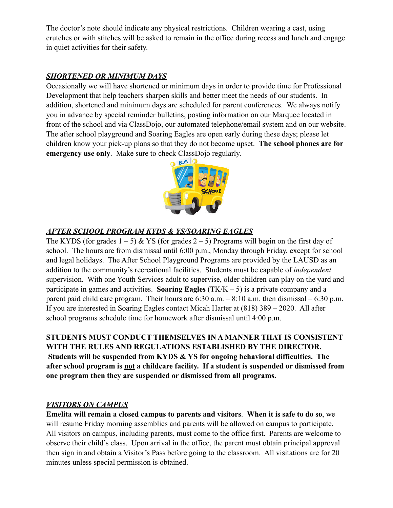The doctor's note should indicate any physical restrictions. Children wearing a cast, using crutches or with stitches will be asked to remain in the office during recess and lunch and engage in quiet activities for their safety.

# *SHORTENED OR MINIMUM DAYS*

Occasionally we will have shortened or minimum days in order to provide time for Professional Development that help teachers sharpen skills and better meet the needs of our students. In addition, shortened and minimum days are scheduled for parent conferences. We always notify you in advance by special reminder bulletins, posting information on our Marquee located in front of the school and via ClassDojo, our automated telephone/email system and on our website. The after school playground and Soaring Eagles are open early during these days; please let children know your pick-up plans so that they do not become upset. **The school phones are for emergency use only**. Make sure to check ClassDojo regularly.



# *AFTER SCHOOL PROGRAM KYDS & YS/SOARING EAGLES*

The KYDS (for grades  $1 - 5$ ) & YS (for grades  $2 - 5$ ) Programs will begin on the first day of school. The hours are from dismissal until 6:00 p.m., Monday through Friday, except for school and legal holidays. The After School Playground Programs are provided by the LAUSD as an addition to the community's recreational facilities. Students must be capable of *independent* supervision. With one Youth Services adult to supervise, older children can play on the yard and participate in games and activities. **Soaring Eagles** (TK/K – 5) is a private company and a parent paid child care program. Their hours are  $6:30$  a.m.  $-8:10$  a.m. then dismissal  $-6:30$  p.m. If you are interested in Soaring Eagles contact Micah Harter at (818) 389 – 2020. All after school programs schedule time for homework after dismissal until 4:00 p.m.

## **STUDENTS MUST CONDUCT THEMSELVES IN A MANNER THAT IS CONSISTENT WITH THE RULES AND REGULATIONS ESTABLISHED BY THE DIRECTOR. Students will be suspended from KYDS & YS for ongoing behavioral difficulties. The after school program is not a childcare facility. If a student is suspended or dismissed from one program then they are suspended or dismissed from all programs.**

#### *VISITORS ON CAMPUS*

**Emelita will remain a closed campus to parents and visitors**. **When it is safe to do so**, we will resume Friday morning assemblies and parents will be allowed on campus to participate. All visitors on campus, including parents, must come to the office first. Parents are welcome to observe their child's class. Upon arrival in the office, the parent must obtain principal approval then sign in and obtain a Visitor's Pass before going to the classroom. All visitations are for 20 minutes unless special permission is obtained.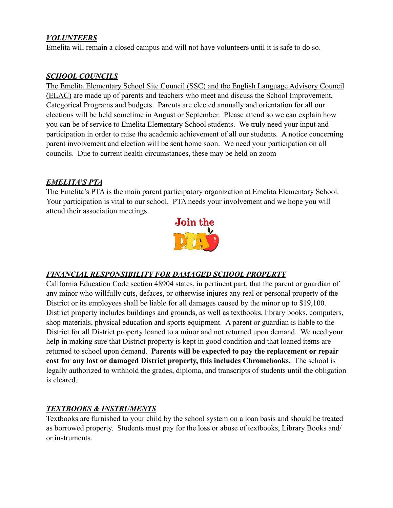#### *VOLUNTEERS*

Emelita will remain a closed campus and will not have volunteers until it is safe to do so.

#### *SCHOOL COUNCILS*

The Emelita Elementary School Site Council (SSC) and the English Language Advisory Council (ELAC) are made up of parents and teachers who meet and discuss the School Improvement, Categorical Programs and budgets. Parents are elected annually and orientation for all our elections will be held sometime in August or September. Please attend so we can explain how you can be of service to Emelita Elementary School students. We truly need your input and participation in order to raise the academic achievement of all our students. A notice concerning parent involvement and election will be sent home soon. We need your participation on all councils. Due to current health circumstances, these may be held on zoom

#### *EMELITA'S PTA*

The Emelita's PTA is the main parent participatory organization at Emelita Elementary School. Your participation is vital to our school. PTA needs your involvement and we hope you will attend their association meetings.



# *FINANCIAL RESPONSIBILITY FOR DAMAGED SCHOOL PROPERTY*

California Education Code section 48904 states, in pertinent part, that the parent or guardian of any minor who willfully cuts, defaces, or otherwise injures any real or personal property of the District or its employees shall be liable for all damages caused by the minor up to \$19,100. District property includes buildings and grounds, as well as textbooks, library books, computers, shop materials, physical education and sports equipment. A parent or guardian is liable to the District for all District property loaned to a minor and not returned upon demand. We need your help in making sure that District property is kept in good condition and that loaned items are returned to school upon demand. **Parents will be expected to pay the replacement or repair cost for any lost or damaged District property, this includes Chromebooks.** The school is legally authorized to withhold the grades, diploma, and transcripts of students until the obligation is cleared.

#### *TEXTBOOKS & INSTRUMENTS*

Textbooks are furnished to your child by the school system on a loan basis and should be treated as borrowed property. Students must pay for the loss or abuse of textbooks, Library Books and/ or instruments.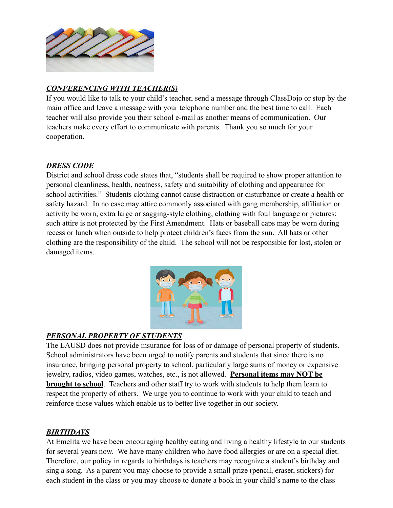

## *CONFERENCING WITH TEACHER(S)*

If you would like to talk to your child's teacher, send a message through ClassDojo or stop by the main office and leave a message with your telephone number and the best time to call. Each teacher will also provide you their school e-mail as another means of communication. Our teachers make every effort to communicate with parents. Thank you so much for your cooperation.

#### *DRESS CODE*

District and school dress code states that, "students shall be required to show proper attention to personal cleanliness, health, neatness, safety and suitability of clothing and appearance for school activities." Students clothing cannot cause distraction or disturbance or create a health or safety hazard. In no case may attire commonly associated with gang membership, affiliation or activity be worn, extra large or sagging-style clothing, clothing with foul language or pictures; such attire is not protected by the First Amendment. Hats or baseball caps may be worn during recess or lunch when outside to help protect children's faces from the sun. All hats or other clothing are the responsibility of the child. The school will not be responsible for lost, stolen or damaged items.



#### *PERSONAL PROPERTY OF STUDENTS*

The LAUSD does not provide insurance for loss of or damage of personal property of students. School administrators have been urged to notify parents and students that since there is no insurance, bringing personal property to school, particularly large sums of money or expensive jewelry, radios, video games, watches, etc., is not allowed. **Personal items may NOT be brought to school**. Teachers and other staff try to work with students to help them learn to respect the property of others. We urge you to continue to work with your child to teach and reinforce those values which enable us to better live together in our society.

#### *BIRTHDAYS*

At Emelita we have been encouraging healthy eating and living a healthy lifestyle to our students for several years now. We have many children who have food allergies or are on a special diet. Therefore, our policy in regards to birthdays is teachers may recognize a student's birthday and sing a song. As a parent you may choose to provide a small prize (pencil, eraser, stickers) for each student in the class or you may choose to donate a book in your child's name to the class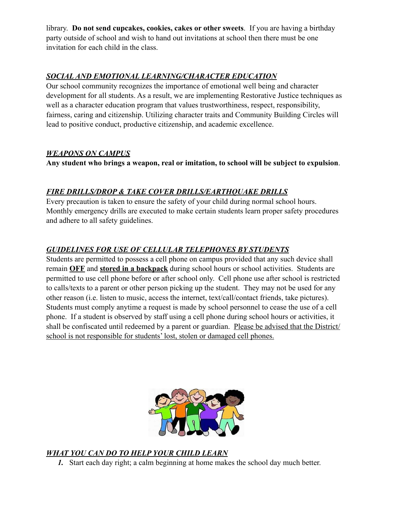library. **Do not send cupcakes, cookies, cakes or other sweets**. If you are having a birthday party outside of school and wish to hand out invitations at school then there must be one invitation for each child in the class.

# *SOCIAL AND EMOTIONAL LEARNING/CHARACTER EDUCATION*

Our school community recognizes the importance of emotional well being and character development for all students. As a result, we are implementing Restorative Justice techniques as well as a character education program that values trustworthiness, respect, responsibility, fairness, caring and citizenship. Utilizing character traits and Community Building Circles will lead to positive conduct, productive citizenship, and academic excellence.

#### *WEAPONS ON CAMPUS*

**Any student who brings a weapon, real or imitation, to school will be subject to expulsion**.

# *FIRE DRILLS/DROP & TAKE COVER DRILLS/EARTHQUAKE DRILLS*

Every precaution is taken to ensure the safety of your child during normal school hours. Monthly emergency drills are executed to make certain students learn proper safety procedures and adhere to all safety guidelines.

# *GUIDELINES FOR USE OF CELLULAR TELEPHONES BY STUDENTS*

Students are permitted to possess a cell phone on campus provided that any such device shall remain **OFF** and **stored in a backpack** during school hours or school activities. Students are permitted to use cell phone before or after school only. Cell phone use after school is restricted to calls/texts to a parent or other person picking up the student. They may not be used for any other reason (i.e. listen to music, access the internet, text/call/contact friends, take pictures). Students must comply anytime a request is made by school personnel to cease the use of a cell phone. If a student is observed by staff using a cell phone during school hours or activities, it shall be confiscated until redeemed by a parent or guardian. Please be advised that the District/ school is not responsible for students' lost, stolen or damaged cell phones.



# *WHAT YOU CAN DO TO HELP YOUR CHILD LEARN*

*1.* Start each day right; a calm beginning at home makes the school day much better.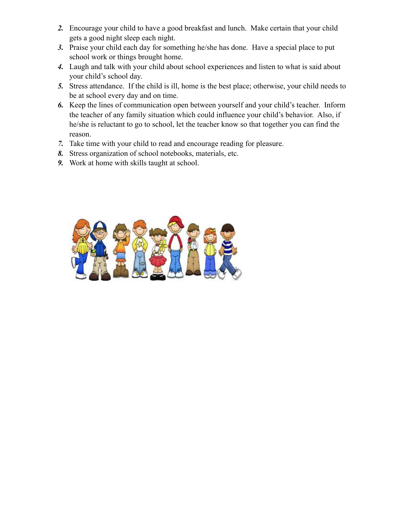- *2.* Encourage your child to have a good breakfast and lunch. Make certain that your child gets a good night sleep each night.
- *3.* Praise your child each day for something he/she has done. Have a special place to put school work or things brought home.
- *4.* Laugh and talk with your child about school experiences and listen to what is said about your child's school day.
- *5.* Stress attendance. If the child is ill, home is the best place; otherwise, your child needs to be at school every day and on time.
- *6.* Keep the lines of communication open between yourself and your child's teacher. Inform the teacher of any family situation which could influence your child's behavior. Also, if he/she is reluctant to go to school, let the teacher know so that together you can find the reason.
- *7.* Take time with your child to read and encourage reading for pleasure.
- *8.* Stress organization of school notebooks, materials, etc.
- *9.* Work at home with skills taught at school.